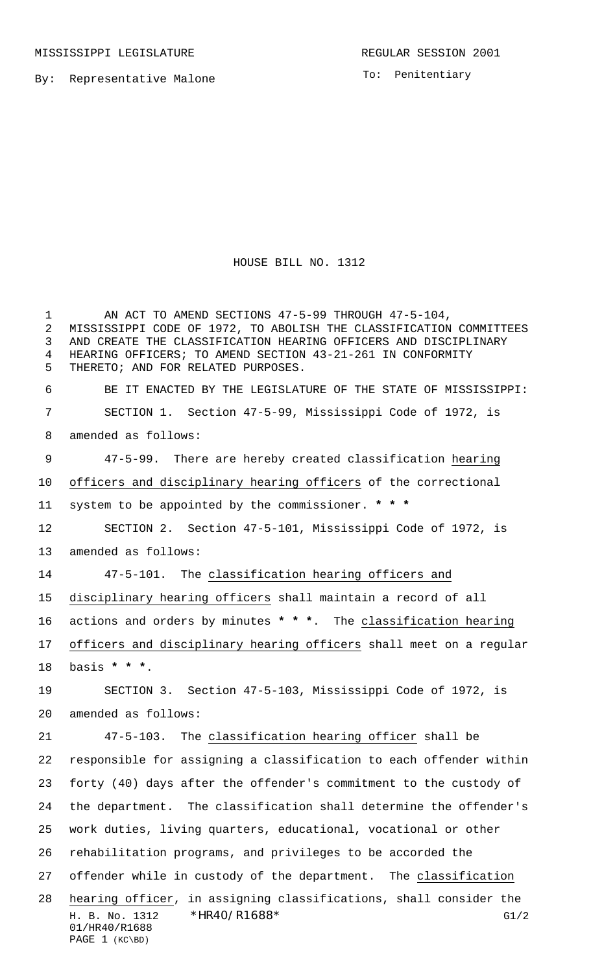MISSISSIPPI LEGISLATURE **REGULAR SESSION 2001** 

By: Representative Malone

To: Penitentiary

HOUSE BILL NO. 1312

H. B. No. 1312 \* HR40/R1688\* G1/2 01/HR40/R1688 PAGE 1 (KC\BD) 1 AN ACT TO AMEND SECTIONS 47-5-99 THROUGH 47-5-104, MISSISSIPPI CODE OF 1972, TO ABOLISH THE CLASSIFICATION COMMITTEES AND CREATE THE CLASSIFICATION HEARING OFFICERS AND DISCIPLINARY HEARING OFFICERS; TO AMEND SECTION 43-21-261 IN CONFORMITY THERETO; AND FOR RELATED PURPOSES. BE IT ENACTED BY THE LEGISLATURE OF THE STATE OF MISSISSIPPI: SECTION 1. Section 47-5-99, Mississippi Code of 1972, is amended as follows: 47-5-99. There are hereby created classification hearing officers and disciplinary hearing officers of the correctional system to be appointed by the commissioner. **\* \* \*** SECTION 2. Section 47-5-101, Mississippi Code of 1972, is amended as follows: 47-5-101. The classification hearing officers and disciplinary hearing officers shall maintain a record of all actions and orders by minutes **\* \* \***. The classification hearing officers and disciplinary hearing officers shall meet on a regular basis **\* \* \***. SECTION 3. Section 47-5-103, Mississippi Code of 1972, is amended as follows: 47-5-103. The classification hearing officer shall be responsible for assigning a classification to each offender within forty (40) days after the offender's commitment to the custody of the department. The classification shall determine the offender's work duties, living quarters, educational, vocational or other rehabilitation programs, and privileges to be accorded the 27 offender while in custody of the department. The classification hearing officer, in assigning classifications, shall consider the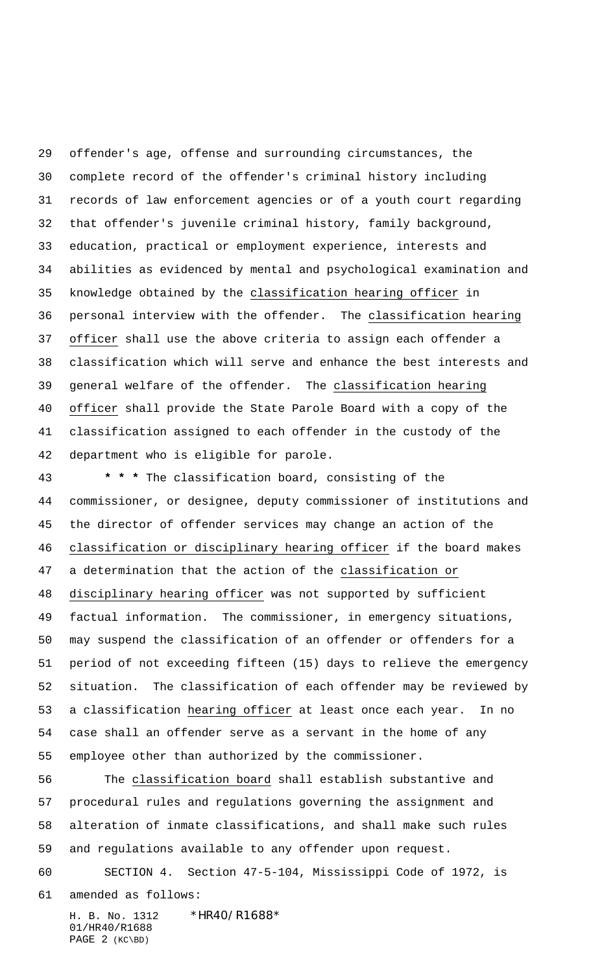offender's age, offense and surrounding circumstances, the complete record of the offender's criminal history including records of law enforcement agencies or of a youth court regarding that offender's juvenile criminal history, family background, education, practical or employment experience, interests and abilities as evidenced by mental and psychological examination and knowledge obtained by the classification hearing officer in personal interview with the offender. The classification hearing officer shall use the above criteria to assign each offender a classification which will serve and enhance the best interests and general welfare of the offender. The classification hearing officer shall provide the State Parole Board with a copy of the classification assigned to each offender in the custody of the department who is eligible for parole.

 **\* \* \*** The classification board, consisting of the commissioner, or designee, deputy commissioner of institutions and the director of offender services may change an action of the 46 classification or disciplinary hearing officer if the board makes a determination that the action of the classification or disciplinary hearing officer was not supported by sufficient factual information. The commissioner, in emergency situations, may suspend the classification of an offender or offenders for a period of not exceeding fifteen (15) days to relieve the emergency situation. The classification of each offender may be reviewed by 53 a classification hearing officer at least once each year. In no case shall an offender serve as a servant in the home of any employee other than authorized by the commissioner.

 The classification board shall establish substantive and procedural rules and regulations governing the assignment and alteration of inmate classifications, and shall make such rules and regulations available to any offender upon request.

 SECTION 4. Section 47-5-104, Mississippi Code of 1972, is amended as follows:

H. B. No. 1312 \*HR40/R1688\* 01/HR40/R1688 PAGE 2 (KC\BD)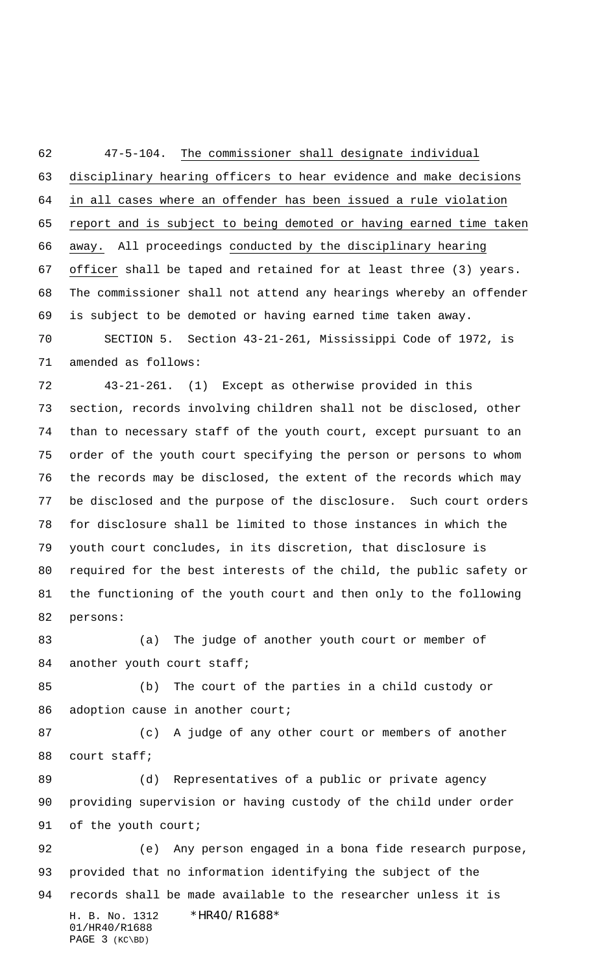47-5-104. The commissioner shall designate individual disciplinary hearing officers to hear evidence and make decisions in all cases where an offender has been issued a rule violation 65 report and is subject to being demoted or having earned time taken away. All proceedings conducted by the disciplinary hearing officer shall be taped and retained for at least three (3) years. The commissioner shall not attend any hearings whereby an offender is subject to be demoted or having earned time taken away. SECTION 5. Section 43-21-261, Mississippi Code of 1972, is amended as follows:

 43-21-261. (1) Except as otherwise provided in this section, records involving children shall not be disclosed, other than to necessary staff of the youth court, except pursuant to an order of the youth court specifying the person or persons to whom the records may be disclosed, the extent of the records which may be disclosed and the purpose of the disclosure. Such court orders for disclosure shall be limited to those instances in which the youth court concludes, in its discretion, that disclosure is required for the best interests of the child, the public safety or the functioning of the youth court and then only to the following persons:

 (a) The judge of another youth court or member of 84 another youth court staff;

 (b) The court of the parties in a child custody or 86 adoption cause in another court;

 (c) A judge of any other court or members of another court staff;

89 (d) Representatives of a public or private agency providing supervision or having custody of the child under order 91 of the youth court;

H. B. No. 1312 \*HR40/R1688\* 01/HR40/R1688 PAGE 3 (KC\BD) (e) Any person engaged in a bona fide research purpose, provided that no information identifying the subject of the records shall be made available to the researcher unless it is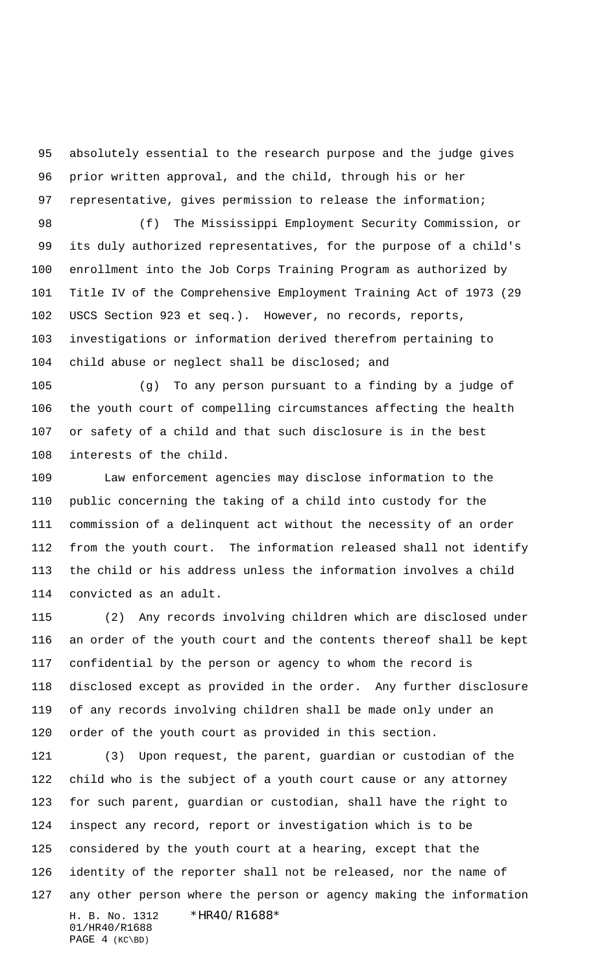absolutely essential to the research purpose and the judge gives prior written approval, and the child, through his or her representative, gives permission to release the information;

 (f) The Mississippi Employment Security Commission, or its duly authorized representatives, for the purpose of a child's enrollment into the Job Corps Training Program as authorized by Title IV of the Comprehensive Employment Training Act of 1973 (29 USCS Section 923 et seq.). However, no records, reports, investigations or information derived therefrom pertaining to child abuse or neglect shall be disclosed; and

 (g) To any person pursuant to a finding by a judge of the youth court of compelling circumstances affecting the health or safety of a child and that such disclosure is in the best interests of the child.

 Law enforcement agencies may disclose information to the public concerning the taking of a child into custody for the commission of a delinquent act without the necessity of an order from the youth court. The information released shall not identify the child or his address unless the information involves a child convicted as an adult.

 (2) Any records involving children which are disclosed under an order of the youth court and the contents thereof shall be kept confidential by the person or agency to whom the record is disclosed except as provided in the order. Any further disclosure of any records involving children shall be made only under an order of the youth court as provided in this section.

H. B. No. 1312 \*HR40/R1688\* (3) Upon request, the parent, guardian or custodian of the child who is the subject of a youth court cause or any attorney for such parent, guardian or custodian, shall have the right to inspect any record, report or investigation which is to be considered by the youth court at a hearing, except that the identity of the reporter shall not be released, nor the name of any other person where the person or agency making the information

01/HR40/R1688 PAGE 4 (KC\BD)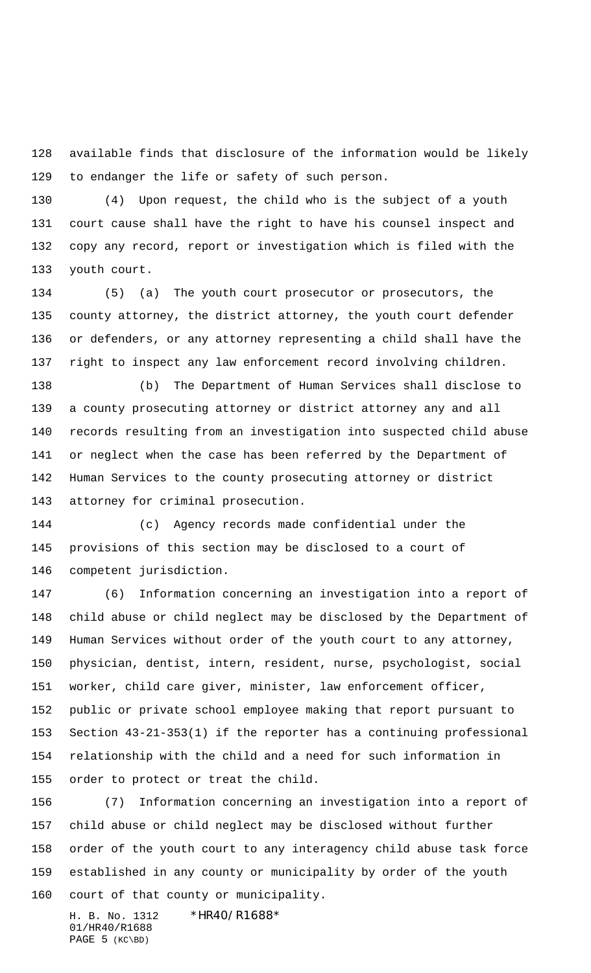available finds that disclosure of the information would be likely to endanger the life or safety of such person.

 (4) Upon request, the child who is the subject of a youth court cause shall have the right to have his counsel inspect and copy any record, report or investigation which is filed with the youth court.

 (5) (a) The youth court prosecutor or prosecutors, the county attorney, the district attorney, the youth court defender or defenders, or any attorney representing a child shall have the right to inspect any law enforcement record involving children.

 (b) The Department of Human Services shall disclose to a county prosecuting attorney or district attorney any and all records resulting from an investigation into suspected child abuse or neglect when the case has been referred by the Department of Human Services to the county prosecuting attorney or district attorney for criminal prosecution.

 (c) Agency records made confidential under the provisions of this section may be disclosed to a court of competent jurisdiction.

 (6) Information concerning an investigation into a report of child abuse or child neglect may be disclosed by the Department of Human Services without order of the youth court to any attorney, physician, dentist, intern, resident, nurse, psychologist, social worker, child care giver, minister, law enforcement officer, public or private school employee making that report pursuant to Section 43-21-353(1) if the reporter has a continuing professional relationship with the child and a need for such information in order to protect or treat the child.

 (7) Information concerning an investigation into a report of child abuse or child neglect may be disclosed without further order of the youth court to any interagency child abuse task force established in any county or municipality by order of the youth court of that county or municipality.

H. B. No. 1312 \*HR40/R1688\* 01/HR40/R1688 PAGE (KC\BD)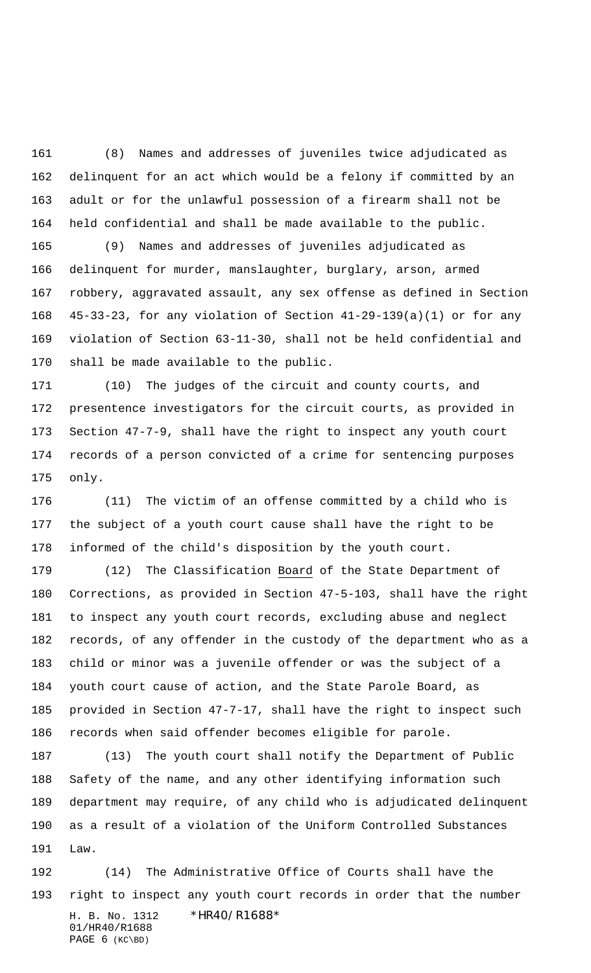(8) Names and addresses of juveniles twice adjudicated as delinquent for an act which would be a felony if committed by an adult or for the unlawful possession of a firearm shall not be held confidential and shall be made available to the public.

 (9) Names and addresses of juveniles adjudicated as delinquent for murder, manslaughter, burglary, arson, armed robbery, aggravated assault, any sex offense as defined in Section 45-33-23, for any violation of Section 41-29-139(a)(1) or for any violation of Section 63-11-30, shall not be held confidential and shall be made available to the public.

 (10) The judges of the circuit and county courts, and presentence investigators for the circuit courts, as provided in Section 47-7-9, shall have the right to inspect any youth court records of a person convicted of a crime for sentencing purposes only.

 (11) The victim of an offense committed by a child who is the subject of a youth court cause shall have the right to be informed of the child's disposition by the youth court.

179 (12) The Classification Board of the State Department of Corrections, as provided in Section 47-5-103, shall have the right to inspect any youth court records, excluding abuse and neglect records, of any offender in the custody of the department who as a child or minor was a juvenile offender or was the subject of a youth court cause of action, and the State Parole Board, as provided in Section 47-7-17, shall have the right to inspect such records when said offender becomes eligible for parole.

 (13) The youth court shall notify the Department of Public Safety of the name, and any other identifying information such department may require, of any child who is adjudicated delinquent as a result of a violation of the Uniform Controlled Substances Law.

H. B. No. 1312 \*HR40/R1688\* 01/HR40/R1688 PAGE (KC\BD) (14) The Administrative Office of Courts shall have the right to inspect any youth court records in order that the number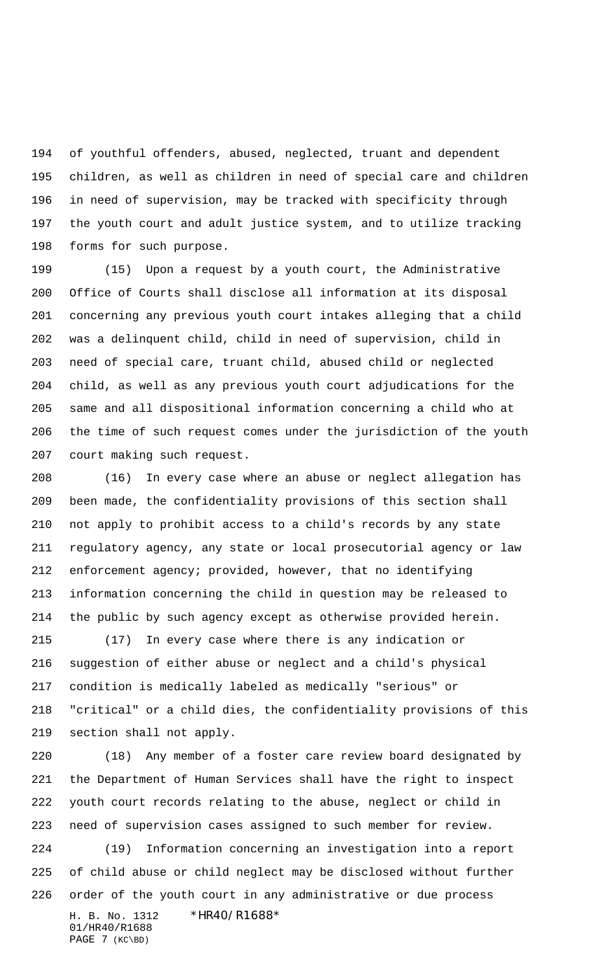of youthful offenders, abused, neglected, truant and dependent children, as well as children in need of special care and children in need of supervision, may be tracked with specificity through the youth court and adult justice system, and to utilize tracking forms for such purpose.

 (15) Upon a request by a youth court, the Administrative Office of Courts shall disclose all information at its disposal concerning any previous youth court intakes alleging that a child was a delinquent child, child in need of supervision, child in need of special care, truant child, abused child or neglected child, as well as any previous youth court adjudications for the same and all dispositional information concerning a child who at the time of such request comes under the jurisdiction of the youth court making such request.

 (16) In every case where an abuse or neglect allegation has been made, the confidentiality provisions of this section shall not apply to prohibit access to a child's records by any state regulatory agency, any state or local prosecutorial agency or law enforcement agency; provided, however, that no identifying information concerning the child in question may be released to the public by such agency except as otherwise provided herein.

 (17) In every case where there is any indication or suggestion of either abuse or neglect and a child's physical condition is medically labeled as medically "serious" or "critical" or a child dies, the confidentiality provisions of this section shall not apply.

H. B. No. 1312 \*HR40/R1688\* 01/HR40/R1688 (18) Any member of a foster care review board designated by the Department of Human Services shall have the right to inspect youth court records relating to the abuse, neglect or child in need of supervision cases assigned to such member for review. (19) Information concerning an investigation into a report of child abuse or child neglect may be disclosed without further order of the youth court in any administrative or due process

PAGE 7 (KC\BD)